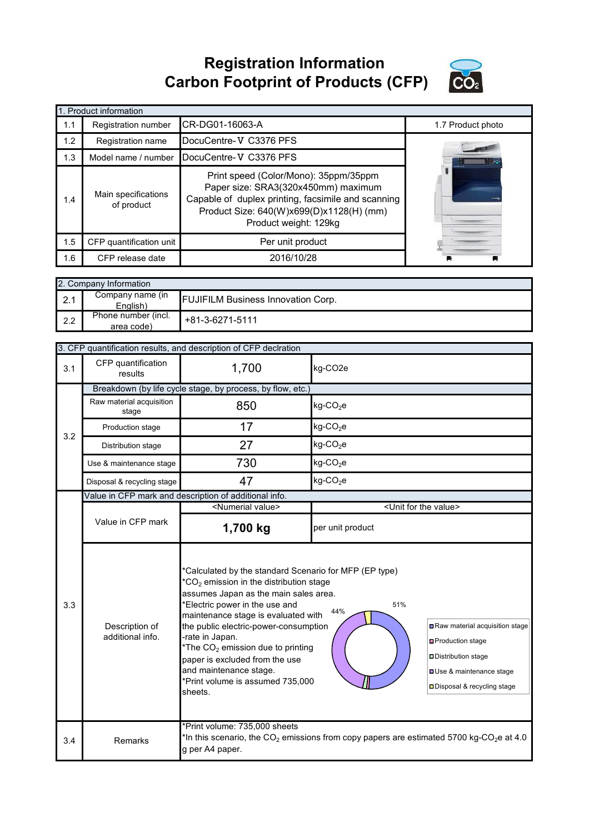**Registration Information Carbon Footprint of Products (CFP)**



|     | 1. Product information            |                                                                                                                                                                                                         |                   |
|-----|-----------------------------------|---------------------------------------------------------------------------------------------------------------------------------------------------------------------------------------------------------|-------------------|
| 1.1 | Registration number               | ICR-DG01-16063-A                                                                                                                                                                                        | 1.7 Product photo |
| 1.2 | Registration name                 | DocuCentre-V C3376 PFS                                                                                                                                                                                  |                   |
| 1.3 | Model name / number               | DocuCentre-V C3376 PFS                                                                                                                                                                                  |                   |
| 1.4 | Main specifications<br>of product | Print speed (Color/Mono): 35ppm/35ppm<br>Paper size: SRA3(320x450mm) maximum<br>Capable of duplex printing, facsimile and scanning<br>Product Size: 640(W)x699(D)x1128(H) (mm)<br>Product weight: 129kg |                   |
| 1.5 | CFP quantification unit           | Per unit product                                                                                                                                                                                        |                   |
| 1.6 | CFP release date                  | 2016/10/28                                                                                                                                                                                              |                   |

|        | 2. Company Information            |                                           |  |  |  |
|--------|-----------------------------------|-------------------------------------------|--|--|--|
| $\sim$ | Company name (in<br>English)      | <b>FUJIFILM Business Innovation Corp.</b> |  |  |  |
| 2.2    | Phone number (incl.<br>area code) | +81-3-6271-5111                           |  |  |  |

|     | 3. CFP quantification results, and description of CFP declration |                                                                                                                                                                                                                                                                                                                                                                                                                                                                                                                                                                                                               |                                      |  |
|-----|------------------------------------------------------------------|---------------------------------------------------------------------------------------------------------------------------------------------------------------------------------------------------------------------------------------------------------------------------------------------------------------------------------------------------------------------------------------------------------------------------------------------------------------------------------------------------------------------------------------------------------------------------------------------------------------|--------------------------------------|--|
| 3.1 | CFP quantification<br>results                                    | 1,700                                                                                                                                                                                                                                                                                                                                                                                                                                                                                                                                                                                                         | kg-CO2e                              |  |
|     |                                                                  | Breakdown (by life cycle stage, by process, by flow, etc.)                                                                                                                                                                                                                                                                                                                                                                                                                                                                                                                                                    |                                      |  |
| 3.2 | Raw material acquisition<br>stage                                | 850                                                                                                                                                                                                                                                                                                                                                                                                                                                                                                                                                                                                           | kg-CO <sub>2</sub> e                 |  |
|     | Production stage                                                 | 17                                                                                                                                                                                                                                                                                                                                                                                                                                                                                                                                                                                                            | kg-CO <sub>2</sub> e                 |  |
|     | Distribution stage                                               | 27                                                                                                                                                                                                                                                                                                                                                                                                                                                                                                                                                                                                            | $kg$ -CO <sub>2</sub> e              |  |
|     | Use & maintenance stage                                          | 730                                                                                                                                                                                                                                                                                                                                                                                                                                                                                                                                                                                                           | $kg$ -CO <sub>2</sub> e              |  |
|     | Disposal & recycling stage                                       | 47                                                                                                                                                                                                                                                                                                                                                                                                                                                                                                                                                                                                            | $kg$ -CO <sub>2</sub> e              |  |
|     |                                                                  | Value in CFP mark and description of additional info.                                                                                                                                                                                                                                                                                                                                                                                                                                                                                                                                                         |                                      |  |
|     |                                                                  | <numerial value=""></numerial>                                                                                                                                                                                                                                                                                                                                                                                                                                                                                                                                                                                | <unit for="" the="" value=""></unit> |  |
|     | Value in CFP mark                                                | 1,700 kg                                                                                                                                                                                                                                                                                                                                                                                                                                                                                                                                                                                                      | per unit product                     |  |
| 3.3 | Description of<br>additional info.                               | *Calculated by the standard Scenario for MFP (EP type)<br>$*CO2$ emission in the distribution stage<br>assumes Japan as the main sales area.<br>*Electric power in the use and<br>51%<br>44%<br>maintenance stage is evaluated with<br>the public electric-power-consumption<br>Raw material acquisition stage<br>-rate in Japan.<br><b>□</b> Production stage<br>*The $CO2$ emission due to printing<br>Distribution stage<br>paper is excluded from the use<br>and maintenance stage.<br><b>OUse &amp; maintenance stage</b><br>*Print volume is assumed 735,000<br>□ Disposal & recycling stage<br>sheets. |                                      |  |
| 3.4 | Remarks                                                          | *Print volume: 735,000 sheets<br>*In this scenario, the CO <sub>2</sub> emissions from copy papers are estimated 5700 kg-CO <sub>2</sub> e at 4.0<br>g per A4 paper.                                                                                                                                                                                                                                                                                                                                                                                                                                          |                                      |  |